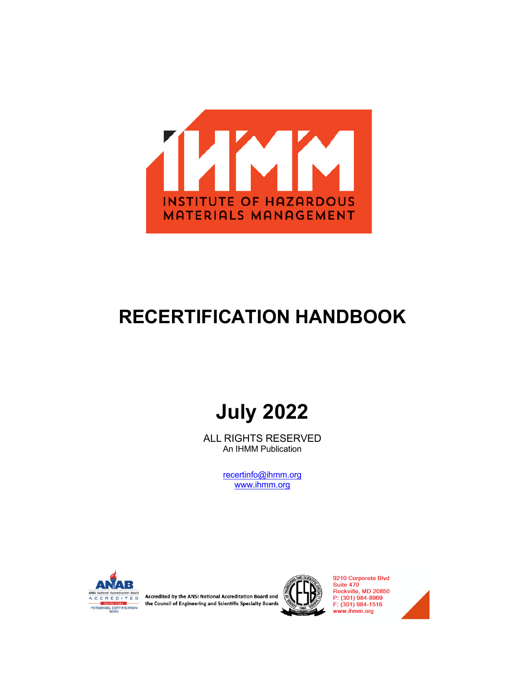

# **RECERTIFICATION HANDBOOK**

# **July 2022**

ALL RIGHTS RESERVED An IHMM Publication

> [recertinfo@ihmm.org](mailto:recertinfo@ihmm.org) [www.ihmm.org](http://www.ihmm.org/)



Accredited by the ANSI National Accreditation Board and the Council of Engineering and Scientific Specialty Boards



9210 Corporate Blvd<br>Suite 470<br>Rockville, MD 20850 P: (301) 984-8969 F: (301) 984-1516 www.ihmm.org

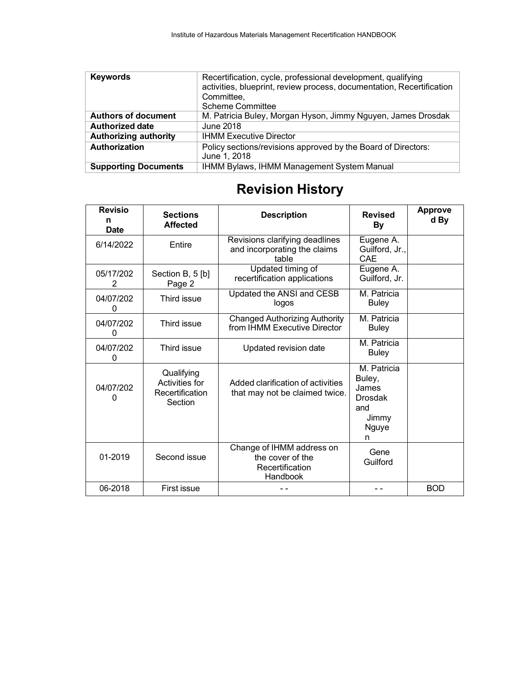| <b>Keywords</b>              | Recertification, cycle, professional development, qualifying<br>activities, blueprint, review process, documentation, Recertification<br>Committee. |
|------------------------------|-----------------------------------------------------------------------------------------------------------------------------------------------------|
|                              | <b>Scheme Committee</b>                                                                                                                             |
| <b>Authors of document</b>   | M. Patricia Buley, Morgan Hyson, Jimmy Nguyen, James Drosdak                                                                                        |
| <b>Authorized date</b>       | June 2018                                                                                                                                           |
| <b>Authorizing authority</b> | <b>IHMM Executive Director</b>                                                                                                                      |
| <b>Authorization</b>         | Policy sections/revisions approved by the Board of Directors:<br>June 1, 2018                                                                       |
| <b>Supporting Documents</b>  | IHMM Bylaws, IHMM Management System Manual                                                                                                          |

# **Revision History**

| <b>Revisio</b><br>n<br><b>Date</b> | <b>Sections</b><br><b>Affected</b>                         | <b>Description</b>                                                           | <b>Revised</b><br><b>By</b>                                             | <b>Approve</b><br>d By |
|------------------------------------|------------------------------------------------------------|------------------------------------------------------------------------------|-------------------------------------------------------------------------|------------------------|
| 6/14/2022                          | Entire                                                     | Revisions clarifying deadlines<br>and incorporating the claims<br>table      | Eugene A.<br>Guilford, Jr.,<br><b>CAE</b>                               |                        |
| 05/17/202<br>2                     | Section B, 5 [b]<br>Page 2                                 | Updated timing of<br>recertification applications                            | Eugene A.<br>Guilford, Jr.                                              |                        |
| 04/07/202<br>0                     | Third issue                                                | Updated the ANSI and CESB<br>logos                                           | M. Patricia<br><b>Buley</b>                                             |                        |
| 04/07/202<br>$\Omega$              | Third issue                                                | <b>Changed Authorizing Authority</b><br>from IHMM Executive Director         | M. Patricia<br><b>Buley</b>                                             |                        |
| 04/07/202<br>0                     | Third issue                                                | Updated revision date                                                        | M. Patricia<br><b>Buley</b>                                             |                        |
| 04/07/202<br>$\Omega$              | Qualifying<br>Activities for<br>Recertification<br>Section | Added clarification of activities<br>that may not be claimed twice.          | M. Patricia<br>Buley,<br>James<br>Drosdak<br>and<br>Jimmy<br>Nguye<br>n |                        |
| 01-2019                            | Second issue                                               | Change of IHMM address on<br>the cover of the<br>Recertification<br>Handbook | Gene<br>Guilford                                                        |                        |
| 06-2018                            | First issue                                                |                                                                              |                                                                         | <b>BOD</b>             |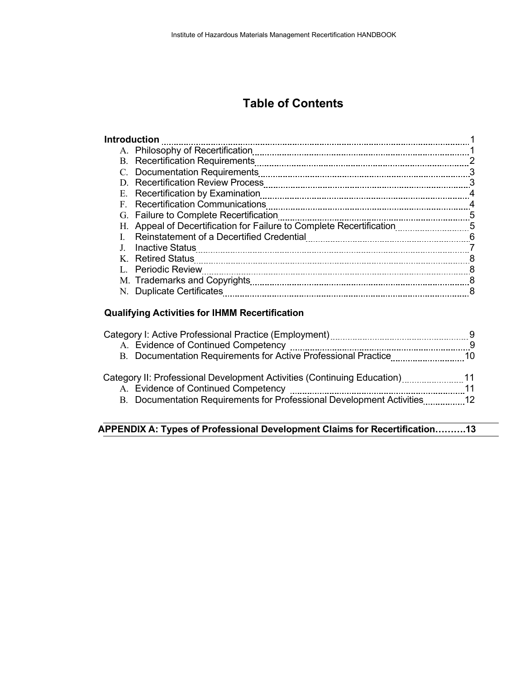# **Table of Contents**

| <b>Introduction</b>                                                                                             |    |
|-----------------------------------------------------------------------------------------------------------------|----|
| A. Philosophy of Recertification                                                                                |    |
|                                                                                                                 |    |
|                                                                                                                 | 3  |
|                                                                                                                 |    |
|                                                                                                                 | 4  |
| F. Recertification Communications                                                                               | 4  |
| G. Failure to Complete Recertification                                                                          | -5 |
| H. Appeal of Decertification for Failure to Complete Recertification                                            |    |
| Reinstatement of a Decertified Credential [11] Reinstatement of a Decertified Credential [11] Manusum museum mu | -6 |
| <b>Inactive Status</b>                                                                                          |    |
| K. Retired Status                                                                                               | 8  |
| L. Periodic Review                                                                                              | 8  |
|                                                                                                                 | 8  |
| N. Duplicate Certificates                                                                                       | 8  |
|                                                                                                                 |    |

## **Qualifying Activities for IHMM Recertification**

| A. Evidence of Continued Competency                                                           |  |
|-----------------------------------------------------------------------------------------------|--|
| B. Documentation Requirements for Active Professional Practice                                |  |
| Category II: Professional Development Activities (Continuing Education) [ [ [ [ [ [ [ 1 ] 4 ] |  |
| A. Evidence of Continued Competency                                                           |  |
| B. Documentation Requirements for Professional Development Activities                         |  |
|                                                                                               |  |

## **APPENDIX A: Types of Professional Development Claims for Recertification……….13**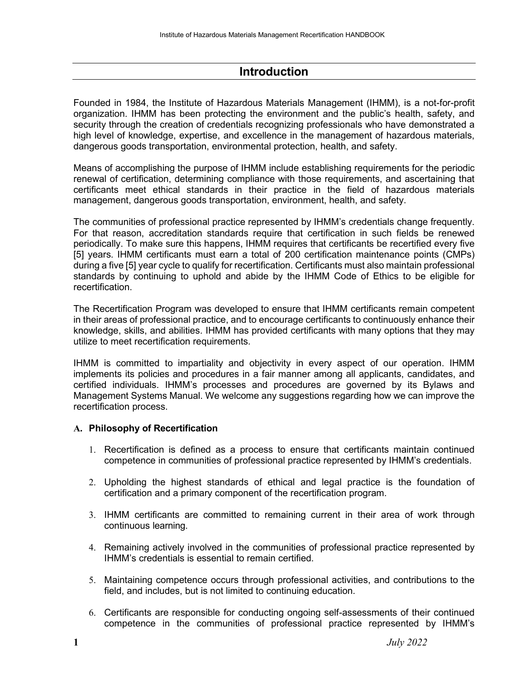## **Introduction**

Founded in 1984, the Institute of Hazardous Materials Management (IHMM), is a not-for-profit organization. IHMM has been protecting the environment and the public's health, safety, and security through the creation of credentials recognizing professionals who have demonstrated a high level of knowledge, expertise, and excellence in the management of hazardous materials, dangerous goods transportation, environmental protection, health, and safety.

Means of accomplishing the purpose of IHMM include establishing requirements for the periodic renewal of certification, determining compliance with those requirements, and ascertaining that certificants meet ethical standards in their practice in the field of hazardous materials management, dangerous goods transportation, environment, health, and safety.

The communities of professional practice represented by IHMM's credentials change frequently. For that reason, accreditation standards require that certification in such fields be renewed periodically. To make sure this happens, IHMM requires that certificants be recertified every five [5] years. IHMM certificants must earn a total of 200 certification maintenance points (CMPs) during a five [5] year cycle to qualify for recertification. Certificants must also maintain professional standards by continuing to uphold and abide by the IHMM Code of Ethics to be eligible for recertification.

The Recertification Program was developed to ensure that IHMM certificants remain competent in their areas of professional practice, and to encourage certificants to continuously enhance their knowledge, skills, and abilities. IHMM has provided certificants with many options that they may utilize to meet recertification requirements.

IHMM is committed to impartiality and objectivity in every aspect of our operation. IHMM implements its policies and procedures in a fair manner among all applicants, candidates, and certified individuals. IHMM's processes and procedures are governed by its Bylaws and Management Systems Manual. We welcome any suggestions regarding how we can improve the recertification process.

### **A. Philosophy of Recertification**

- 1. Recertification is defined as a process to ensure that certificants maintain continued competence in communities of professional practice represented by IHMM's credentials.
- 2. Upholding the highest standards of ethical and legal practice is the foundation of certification and a primary component of the recertification program.
- 3. IHMM certificants are committed to remaining current in their area of work through continuous learning.
- 4. Remaining actively involved in the communities of professional practice represented by IHMM's credentials is essential to remain certified.
- 5. Maintaining competence occurs through professional activities, and contributions to the field, and includes, but is not limited to continuing education.
- 6. Certificants are responsible for conducting ongoing self-assessments of their continued competence in the communities of professional practice represented by IHMM's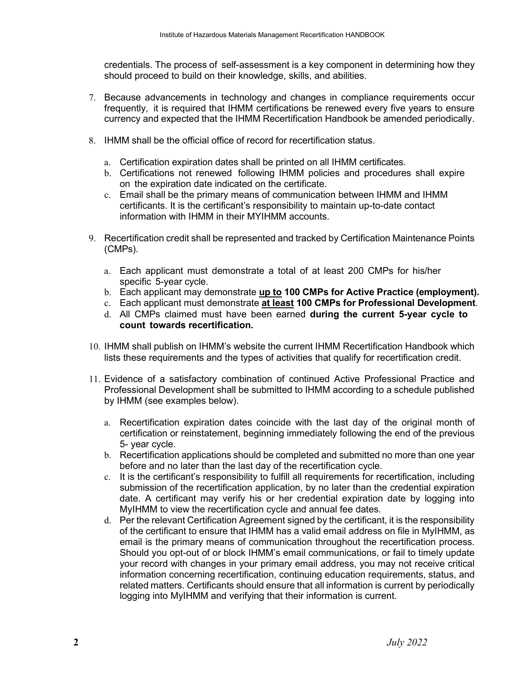credentials. The process of self-assessment is a key component in determining how they should proceed to build on their knowledge, skills, and abilities.

- 7. Because advancements in technology and changes in compliance requirements occur frequently, it is required that IHMM certifications be renewed every five years to ensure currency and expected that the IHMM Recertification Handbook be amended periodically.
- 8. IHMM shall be the official office of record for recertification status.
	- a. Certification expiration dates shall be printed on all IHMM certificates.
	- b. Certifications not renewed following IHMM policies and procedures shall expire on the expiration date indicated on the certificate.
	- c. Email shall be the primary means of communication between IHMM and IHMM certificants. It is the certificant's responsibility to maintain up-to-date contact information with IHMM in their MYIHMM accounts.
- 9. Recertification credit shall be represented and tracked by Certification Maintenance Points (CMPs).
	- a. Each applicant must demonstrate a total of at least 200 CMPs for his/her specific 5-year cycle.
	- b. Each applicant may demonstrate **up to 100 CMPs for Active Practice (employment).**
	- c. Each applicant must demonstrate **at least 100 CMPs for Professional Development**.
	- d. All CMPs claimed must have been earned **during the current 5-year cycle to count towards recertification.**
- 10. IHMM shall publish on IHMM's website the current IHMM Recertification Handbook which lists these requirements and the types of activities that qualify for recertification credit.
- 11. Evidence of a satisfactory combination of continued Active Professional Practice and Professional Development shall be submitted to IHMM according to a schedule published by IHMM (see examples below).
	- a. Recertification expiration dates coincide with the last day of the original month of certification or reinstatement, beginning immediately following the end of the previous 5- year cycle.
	- b. Recertification applications should be completed and submitted no more than one year before and no later than the last day of the recertification cycle.
	- c. It is the certificant's responsibility to fulfill all requirements for recertification, including submission of the recertification application, by no later than the credential expiration date. A certificant may verify his or her credential expiration date by logging into MyIHMM to view the recertification cycle and annual fee dates.
	- d. Per the relevant Certification Agreement signed by the certificant, it is the responsibility of the certificant to ensure that IHMM has a valid email address on file in MyIHMM, as email is the primary means of communication throughout the recertification process. Should you opt-out of or block IHMM's email communications, or fail to timely update your record with changes in your primary email address, you may not receive critical information concerning recertification, continuing education requirements, status, and related matters. Certificants should ensure that all information is current by periodically logging into MyIHMM and verifying that their information is current.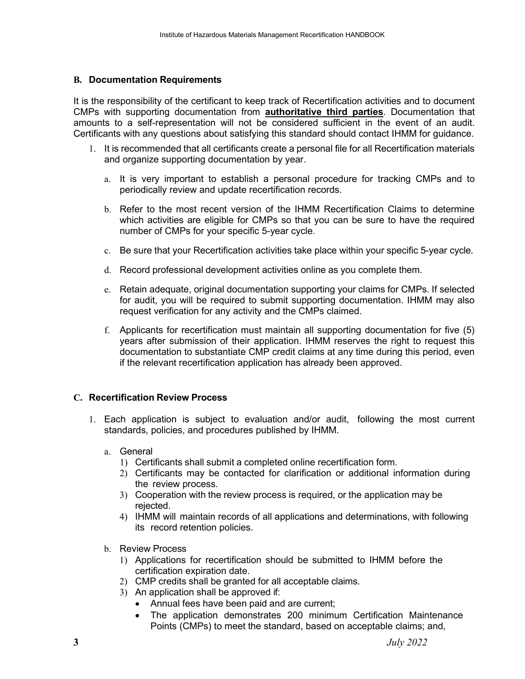#### **B. Documentation Requirements**

It is the responsibility of the certificant to keep track of Recertification activities and to document CMPs with supporting documentation from **authoritative third parties**. Documentation that amounts to a self-representation will not be considered sufficient in the event of an audit. Certificants with any questions about satisfying this standard should contact IHMM for guidance.

- 1. It is recommended that all certificants create a personal file for all Recertification materials and organize supporting documentation by year.
	- a. It is very important to establish a personal procedure for tracking CMPs and to periodically review and update recertification records.
	- b. Refer to the most recent version of the IHMM Recertification Claims to determine which activities are eligible for CMPs so that you can be sure to have the required number of CMPs for your specific 5-year cycle.
	- c. Be sure that your Recertification activities take place within your specific 5-year cycle.
	- d. Record professional development activities online as you complete them.
	- e. Retain adequate, original documentation supporting your claims for CMPs. If selected for audit, you will be required to submit supporting documentation. IHMM may also request verification for any activity and the CMPs claimed.
	- f. Applicants for recertification must maintain all supporting documentation for five (5) years after submission of their application. IHMM reserves the right to request this documentation to substantiate CMP credit claims at any time during this period, even if the relevant recertification application has already been approved.

#### **C. Recertification Review Process**

- 1. Each application is subject to evaluation and/or audit, following the most current standards, policies, and procedures published by IHMM.
	- a. General
		- 1) Certificants shall submit a completed online recertification form.
		- 2) Certificants may be contacted for clarification or additional information during the review process.
		- 3) Cooperation with the review process is required, or the application may be rejected.
		- 4) IHMM will maintain records of all applications and determinations, with following its record retention policies.
	- b. Review Process
		- 1) Applications for recertification should be submitted to IHMM before the certification expiration date.
		- 2) CMP credits shall be granted for all acceptable claims.
		- 3) An application shall be approved if:
			- Annual fees have been paid and are current;
			- The application demonstrates 200 minimum Certification Maintenance Points (CMPs) to meet the standard, based on acceptable claims; and,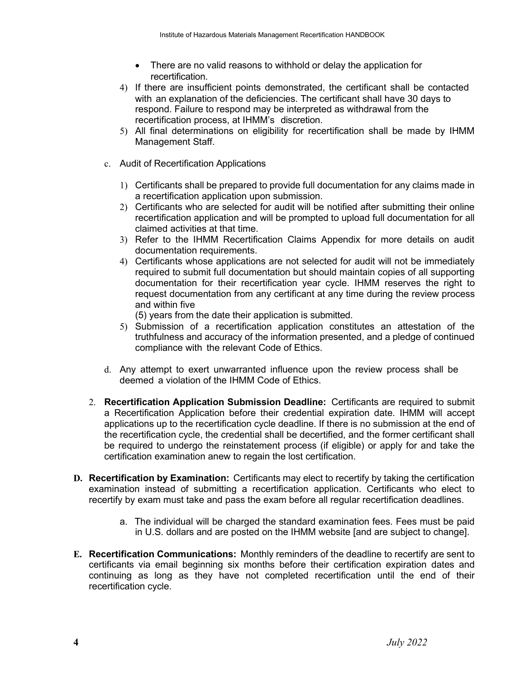- There are no valid reasons to withhold or delay the application for recertification.
- 4) If there are insufficient points demonstrated, the certificant shall be contacted with an explanation of the deficiencies. The certificant shall have 30 days to respond. Failure to respond may be interpreted as withdrawal from the recertification process, at IHMM's discretion.
- 5) All final determinations on eligibility for recertification shall be made by IHMM Management Staff.
- c. Audit of Recertification Applications
	- 1) Certificants shall be prepared to provide full documentation for any claims made in a recertification application upon submission.
	- 2) Certificants who are selected for audit will be notified after submitting their online recertification application and will be prompted to upload full documentation for all claimed activities at that time.
	- 3) Refer to the IHMM Recertification Claims Appendix for more details on audit documentation requirements.
	- 4) Certificants whose applications are not selected for audit will not be immediately required to submit full documentation but should maintain copies of all supporting documentation for their recertification year cycle. IHMM reserves the right to request documentation from any certificant at any time during the review process and within five

(5) years from the date their application is submitted.

- 5) Submission of a recertification application constitutes an attestation of the truthfulness and accuracy of the information presented, and a pledge of continued compliance with the relevant Code of Ethics.
- d. Any attempt to exert unwarranted influence upon the review process shall be deemed a violation of the IHMM Code of Ethics.
- 2. **Recertification Application Submission Deadline:** Certificants are required to submit a Recertification Application before their credential expiration date. IHMM will accept applications up to the recertification cycle deadline. If there is no submission at the end of the recertification cycle, the credential shall be decertified, and the former certificant shall be required to undergo the reinstatement process (if eligible) or apply for and take the certification examination anew to regain the lost certification.
- **D. Recertification by Examination:** Certificants may elect to recertify by taking the certification examination instead of submitting a recertification application. Certificants who elect to recertify by exam must take and pass the exam before all regular recertification deadlines.
	- a. The individual will be charged the standard examination fees. Fees must be paid in U.S. dollars and are posted on the IHMM website [and are subject to change].
- **E. Recertification Communications:** Monthly reminders of the deadline to recertify are sent to certificants via email beginning six months before their certification expiration dates and continuing as long as they have not completed recertification until the end of their recertification cycle.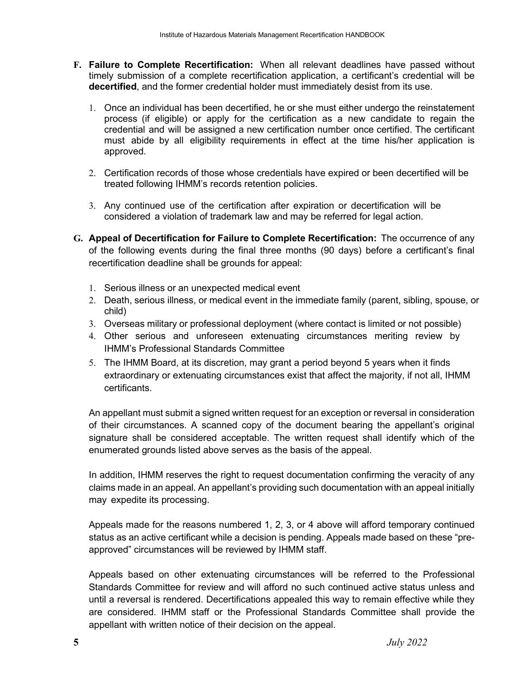- **F. Failure to Complete Recertification:** When all relevant deadlines have passed without timely submission of a complete recertification application, a certificant's credential will be **decertified**, and the former credential holder must immediately desist from its use.
	- 1. Once an individual has been decertified, he or she must either undergo the reinstatement process (if eligible) or apply for the certification as a new candidate to regain the credential and will be assigned a new certification number once certified. The certificant must abide by all eligibility requirements in effect at the time his/her application is approved.
	- 2. Certification records of those whose credentials have expired or been decertified will be treated following IHMM's records retention policies.
	- 3. Any continued use of the certification after expiration or decertification will be considered a violation of trademark law and may be referred for legal action.
- **G. Appeal of Decertification for Failure to Complete Recertification:** The occurrence of any of the following events during the final three months (90 days) before a certificant's final recertification deadline shall be grounds for appeal:
	- 1. Serious illness or an unexpected medical event
	- 2. Death, serious illness, or medical event in the immediate family (parent, sibling, spouse, or child)
	- 3. Overseas military or professional deployment (where contact is limited or not possible)
	- 4. Other serious and unforeseen extenuating circumstances meriting review by IHMM's Professional Standards Committee
	- 5. The IHMM Board, at its discretion, may grant a period beyond 5 years when it finds extraordinary or extenuating circumstances exist that affect the majority, if not all, IHMM certificants.

An appellant must submit a signed written request for an exception or reversal in consideration of their circumstances. A scanned copy of the document bearing the appellant's original signature shall be considered acceptable. The written request shall identify which of the enumerated grounds listed above serves as the basis of the appeal.

In addition, IHMM reserves the right to request documentation confirming the veracity of any claims made in an appeal. An appellant's providing such documentation with an appeal initially may expedite its processing.

Appeals made for the reasons numbered 1, 2, 3, or 4 above will afford temporary continued status as an active certificant while a decision is pending. Appeals made based on these "preapproved" circumstances will be reviewed by IHMM staff.

Appeals based on other extenuating circumstances will be referred to the Professional Standards Committee for review and will afford no such continued active status unless and until a reversal is rendered. Decertifications appealed this way to remain effective while they are considered. IHMM staff or the Professional Standards Committee shall provide the appellant with written notice of their decision on the appeal.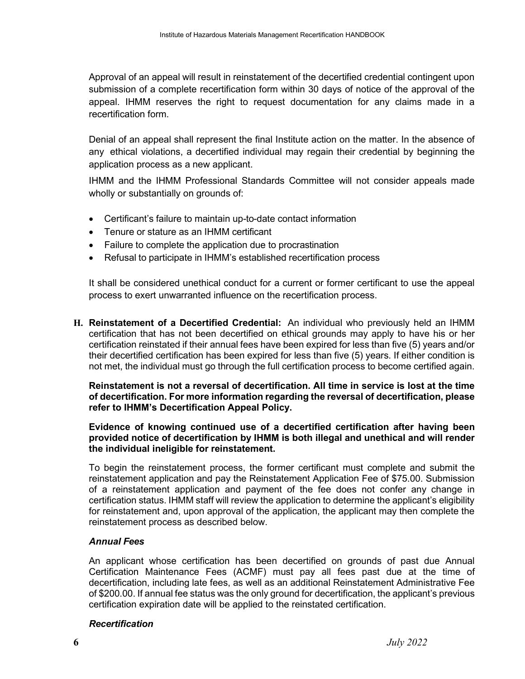Approval of an appeal will result in reinstatement of the decertified credential contingent upon submission of a complete recertification form within 30 days of notice of the approval of the appeal. IHMM reserves the right to request documentation for any claims made in a recertification form.

Denial of an appeal shall represent the final Institute action on the matter. In the absence of any ethical violations, a decertified individual may regain their credential by beginning the application process as a new applicant.

IHMM and the IHMM Professional Standards Committee will not consider appeals made wholly or substantially on grounds of:

- Certificant's failure to maintain up-to-date contact information
- Tenure or stature as an IHMM certificant
- Failure to complete the application due to procrastination
- Refusal to participate in IHMM's established recertification process

It shall be considered unethical conduct for a current or former certificant to use the appeal process to exert unwarranted influence on the recertification process.

**H. Reinstatement of a Decertified Credential:** An individual who previously held an IHMM certification that has not been decertified on ethical grounds may apply to have his or her certification reinstated if their annual fees have been expired for less than five (5) years and/or their decertified certification has been expired for less than five (5) years. If either condition is not met, the individual must go through the full certification process to become certified again.

**Reinstatement is not a reversal of decertification. All time in service is lost at the time of decertification. For more information regarding the reversal of decertification, please refer to IHMM's Decertification Appeal Policy.**

#### **Evidence of knowing continued use of a decertified certification after having been provided notice of decertification by IHMM is both illegal and unethical and will render the individual ineligible for reinstatement.**

To begin the reinstatement process, the former certificant must complete and submit the reinstatement application and pay the Reinstatement Application Fee of \$75.00. Submission of a reinstatement application and payment of the fee does not confer any change in certification status. IHMM staff will review the application to determine the applicant's eligibility for reinstatement and, upon approval of the application, the applicant may then complete the reinstatement process as described below.

#### *Annual Fees*

An applicant whose certification has been decertified on grounds of past due Annual Certification Maintenance Fees (ACMF) must pay all fees past due at the time of decertification, including late fees, as well as an additional Reinstatement Administrative Fee of \$200.00. If annual fee status was the only ground for decertification, the applicant's previous certification expiration date will be applied to the reinstated certification.

#### *Recertification*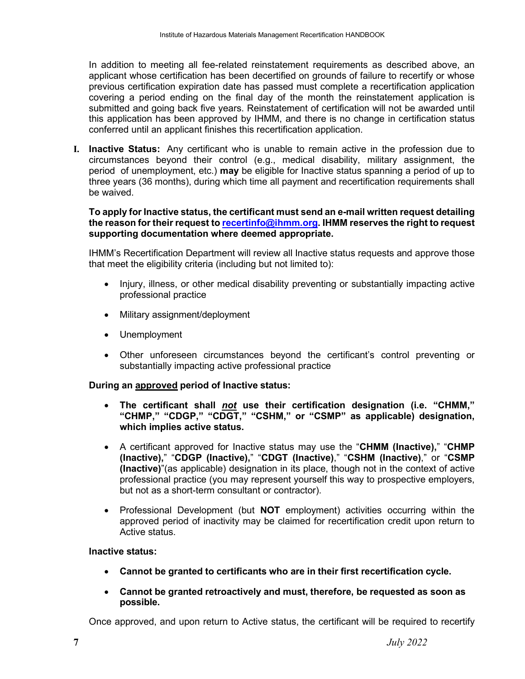In addition to meeting all fee-related reinstatement requirements as described above, an applicant whose certification has been decertified on grounds of failure to recertify or whose previous certification expiration date has passed must complete a recertification application covering a period ending on the final day of the month the reinstatement application is submitted and going back five years. Reinstatement of certification will not be awarded until this application has been approved by IHMM, and there is no change in certification status conferred until an applicant finishes this recertification application.

**I. Inactive Status:** Any certificant who is unable to remain active in the profession due to circumstances beyond their control (e.g., medical disability, military assignment, the period of unemployment, etc.) **may** be eligible for Inactive status spanning a period of up to three years (36 months), during which time all payment and recertification requirements shall be waived.

#### **To apply for Inactive status, the certificant must send an e-mail written request detailing the reason for their request to [recertinfo@ihmm.org.](mailto:recertinfo@ihmm.org) IHMM reserves the right to request supporting documentation where deemed appropriate.**

IHMM's Recertification Department will review all Inactive status requests and approve those that meet the eligibility criteria (including but not limited to):

- Injury, illness, or other medical disability preventing or substantially impacting active professional practice
- Military assignment/deployment
- Unemployment
- Other unforeseen circumstances beyond the certificant's control preventing or substantially impacting active professional practice

#### **During an approved period of Inactive status:**

- **The certificant shall** *not* **use their certification designation (i.e. "CHMM," "CHMP," "CDGP," "CDGT," "CSHM," or "CSMP" as applicable) designation, which implies active status.**
- A certificant approved for Inactive status may use the "**CHMM (Inactive),**" "**CHMP (Inactive),**" "**CDGP (Inactive),**" "**CDGT (Inactive)**," "**CSHM (Inactive)**," or "**CSMP (Inactive)**"(as applicable) designation in its place, though not in the context of active professional practice (you may represent yourself this way to prospective employers, but not as a short-term consultant or contractor).
- Professional Development (but **NOT** employment) activities occurring within the approved period of inactivity may be claimed for recertification credit upon return to Active status.

#### **Inactive status:**

- **Cannot be granted to certificants who are in their first recertification cycle.**
- **Cannot be granted retroactively and must, therefore, be requested as soon as possible.**

Once approved, and upon return to Active status, the certificant will be required to recertify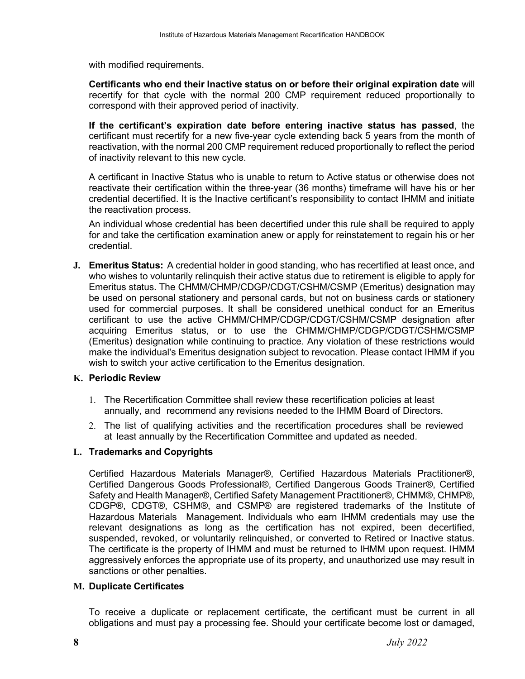with modified requirements.

**Certificants who end their Inactive status on or before their original expiration date** will recertify for that cycle with the normal 200 CMP requirement reduced proportionally to correspond with their approved period of inactivity.

**If the certificant's expiration date before entering inactive status has passed**, the certificant must recertify for a new five-year cycle extending back 5 years from the month of reactivation, with the normal 200 CMP requirement reduced proportionally to reflect the period of inactivity relevant to this new cycle.

A certificant in Inactive Status who is unable to return to Active status or otherwise does not reactivate their certification within the three-year (36 months) timeframe will have his or her credential decertified. It is the Inactive certificant's responsibility to contact IHMM and initiate the reactivation process.

An individual whose credential has been decertified under this rule shall be required to apply for and take the certification examination anew or apply for reinstatement to regain his or her credential.

**J. Emeritus Status:** A credential holder in good standing, who has recertified at least once, and who wishes to voluntarily relinquish their active status due to retirement is eligible to apply for Emeritus status. The CHMM/CHMP/CDGP/CDGT/CSHM/CSMP (Emeritus) designation may be used on personal stationery and personal cards, but not on business cards or stationery used for commercial purposes. It shall be considered unethical conduct for an Emeritus certificant to use the active CHMM/CHMP/CDGP/CDGT/CSHM/CSMP designation after acquiring Emeritus status, or to use the CHMM/CHMP/CDGP/CDGT/CSHM/CSMP (Emeritus) designation while continuing to practice. Any violation of these restrictions would make the individual's Emeritus designation subject to revocation. Please contact IHMM if you wish to switch your active certification to the Emeritus designation.

#### **K. Periodic Review**

- 1. The Recertification Committee shall review these recertification policies at least annually, and recommend any revisions needed to the IHMM Board of Directors.
- 2. The list of qualifying activities and the recertification procedures shall be reviewed at least annually by the Recertification Committee and updated as needed.

### **L. Trademarks and Copyrights**

Certified Hazardous Materials Manager®, Certified Hazardous Materials Practitioner®, Certified Dangerous Goods Professional®, Certified Dangerous Goods Trainer®, Certified Safety and Health Manager®, Certified Safety Management Practitioner®, CHMM®, CHMP®, CDGP®, CDGT®, CSHM®, and CSMP® are registered trademarks of the Institute of Hazardous Materials Management. Individuals who earn IHMM credentials may use the relevant designations as long as the certification has not expired, been decertified, suspended, revoked, or voluntarily relinquished, or converted to Retired or Inactive status. The certificate is the property of IHMM and must be returned to IHMM upon request. IHMM aggressively enforces the appropriate use of its property, and unauthorized use may result in sanctions or other penalties.

#### **M. Duplicate Certificates**

To receive a duplicate or replacement certificate, the certificant must be current in all obligations and must pay a processing fee. Should your certificate become lost or damaged,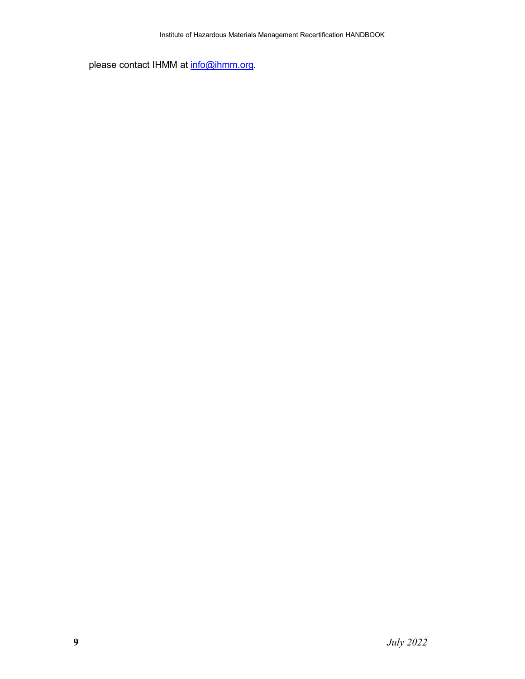please contact IHMM at [info@ihmm.org.](mailto:info@ihmm.org)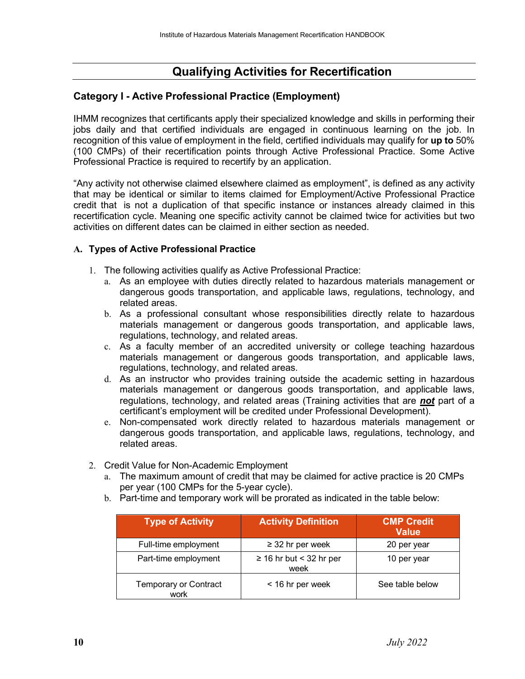# **Qualifying Activities for Recertification**

### **Category I - Active Professional Practice (Employment)**

IHMM recognizes that certificants apply their specialized knowledge and skills in performing their jobs daily and that certified individuals are engaged in continuous learning on the job. In recognition of this value of employment in the field, certified individuals may qualify for **up to** 50% (100 CMPs) of their recertification points through Active Professional Practice. Some Active Professional Practice is required to recertify by an application.

"Any activity not otherwise claimed elsewhere claimed as employment", is defined as any activity that may be identical or similar to items claimed for Employment/Active Professional Practice credit that is not a duplication of that specific instance or instances already claimed in this recertification cycle. Meaning one specific activity cannot be claimed twice for activities but two activities on different dates can be claimed in either section as needed.

#### **A. Types of Active Professional Practice**

- 1. The following activities qualify as Active Professional Practice:
	- a. As an employee with duties directly related to hazardous materials management or dangerous goods transportation, and applicable laws, regulations, technology, and related areas.
	- b. As a professional consultant whose responsibilities directly relate to hazardous materials management or dangerous goods transportation, and applicable laws, regulations, technology, and related areas.
	- c. As a faculty member of an accredited university or college teaching hazardous materials management or dangerous goods transportation, and applicable laws, regulations, technology, and related areas.
	- d. As an instructor who provides training outside the academic setting in hazardous materials management or dangerous goods transportation, and applicable laws, regulations, technology, and related areas (Training activities that are *not* part of a certificant's employment will be credited under Professional Development).
	- e. Non-compensated work directly related to hazardous materials management or dangerous goods transportation, and applicable laws, regulations, technology, and related areas.
- 2. Credit Value for Non-Academic Employment
	- a. The maximum amount of credit that may be claimed for active practice is 20 CMPs per year (100 CMPs for the 5-year cycle).
	- b. Part-time and temporary work will be prorated as indicated in the table below:

| <b>Type of Activity</b>              | <b>Activity Definition</b>           | <b>CMP Credit</b><br><b>Value</b> |
|--------------------------------------|--------------------------------------|-----------------------------------|
| Full-time employment                 | $\geq$ 32 hr per week                | 20 per year                       |
| Part-time employment                 | $\geq$ 16 hr but < 32 hr per<br>week | 10 per year                       |
| <b>Temporary or Contract</b><br>work | < 16 hr per week                     | See table below                   |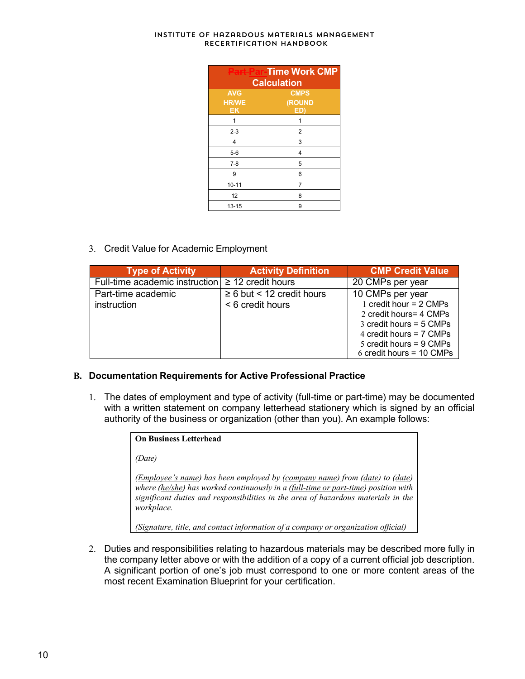| <b>Part Par-Time Work CMP</b><br><b>Calculation</b> |                              |  |  |
|-----------------------------------------------------|------------------------------|--|--|
| <b>AVG</b><br><b>HR/WE</b><br><b>EK</b>             | <b>CMPS</b><br>(ROUND<br>ED) |  |  |
| 1                                                   | 1                            |  |  |
| $2 - 3$                                             | 2                            |  |  |
| 4                                                   | 3                            |  |  |
| $5-6$                                               | 4                            |  |  |
| $7-8$                                               | 5                            |  |  |
| 9                                                   | 6                            |  |  |
| $10 - 11$                                           | 7                            |  |  |
| 12                                                  | 8                            |  |  |
| 13-15                                               | 9                            |  |  |

3. Credit Value for Academic Employment

| <b>Type of Activity</b>                               | <b>Activity Definition</b>     | <b>CMP Credit Value</b>     |
|-------------------------------------------------------|--------------------------------|-----------------------------|
| Full-time academic instruction $\geq 12$ credit hours |                                | 20 CMPs per year            |
| Part-time academic                                    | $\geq 6$ but < 12 credit hours | 10 CMPs per year            |
| instruction                                           | < 6 credit hours               | 1 credit hour = 2 CMPs      |
|                                                       |                                | 2 credit hours = 4 CMPs     |
|                                                       |                                | $3$ credit hours = $5$ CMPs |
|                                                       |                                | 4 credit hours = 7 CMPs     |
|                                                       |                                | 5 credit hours = $9$ CMPs   |
|                                                       |                                | 6 credit hours = $10$ CMPs  |

#### **B. Documentation Requirements for Active Professional Practice**

1. The dates of employment and type of activity (full-time or part-time) may be documented with a written statement on company letterhead stationery which is signed by an official authority of the business or organization (other than you). An example follows:

| <b>On Business Letterhead</b>                                                                                                                                                                                                                                                                            |
|----------------------------------------------------------------------------------------------------------------------------------------------------------------------------------------------------------------------------------------------------------------------------------------------------------|
| (Date)                                                                                                                                                                                                                                                                                                   |
| ( <i>Employee's name</i> ) has been employed by ( <i>company name</i> ) from ( <i>date</i> ) to ( <i>date</i> )<br>where (he/she) has worked continuously in a (full-time or part-time) position with<br>significant duties and responsibilities in the area of hazardous materials in the<br>workplace. |
| (Signature, title, and contact information of a company or organization official)                                                                                                                                                                                                                        |

2. Duties and responsibilities relating to hazardous materials may be described more fully in the company letter above or with the addition of a copy of a current official job description. A significant portion of one's job must correspond to one or more content areas of the most recent Examination Blueprint for your certification.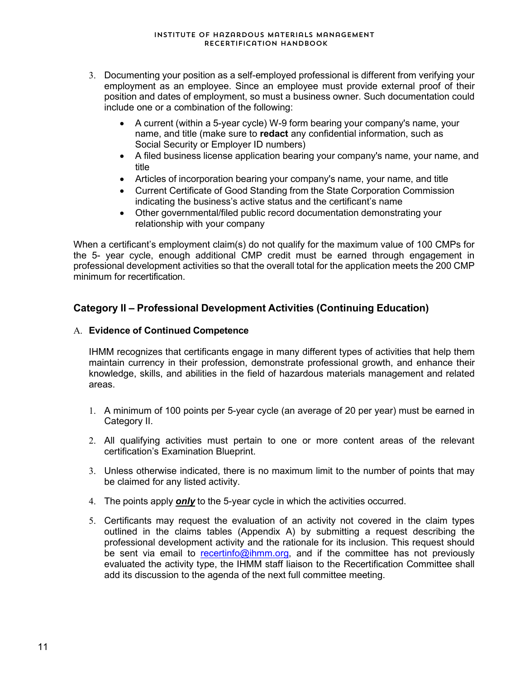- 3. Documenting your position as a self-employed professional is different from verifying your employment as an employee. Since an employee must provide external proof of their position and dates of employment, so must a business owner. Such documentation could include one or a combination of the following:
	- A current (within a 5-year cycle) W-9 form bearing your company's name, your name, and title (make sure to **redact** any confidential information, such as Social Security or Employer ID numbers)
	- A filed business license application bearing your company's name, your name, and title
	- Articles of incorporation bearing your company's name, your name, and title
	- Current Certificate of Good Standing from the State Corporation Commission indicating the business's active status and the certificant's name
	- Other governmental/filed public record documentation demonstrating your relationship with your company

When a certificant's employment claim(s) do not qualify for the maximum value of 100 CMPs for the 5- year cycle, enough additional CMP credit must be earned through engagement in professional development activities so that the overall total for the application meets the 200 CMP minimum for recertification.

## **Category II – Professional Development Activities (Continuing Education)**

#### A. **Evidence of Continued Competence**

IHMM recognizes that certificants engage in many different types of activities that help them maintain currency in their profession, demonstrate professional growth, and enhance their knowledge, skills, and abilities in the field of hazardous materials management and related areas.

- 1. A minimum of 100 points per 5-year cycle (an average of 20 per year) must be earned in Category II.
- 2. All qualifying activities must pertain to one or more content areas of the relevant certification's Examination Blueprint.
- 3. Unless otherwise indicated, there is no maximum limit to the number of points that may be claimed for any listed activity.
- 4. The points apply *only* to the 5-year cycle in which the activities occurred.
- 5. Certificants may request the evaluation of an activity not covered in the claim types outlined in the claims tables (Appendix A) by submitting a request describing the professional development activity and the rationale for its inclusion. This request should be sent via email to [recertinfo@ihmm.org,](mailto:recertinfo@ihmm.org) and if the committee has not previously evaluated the activity type, the IHMM staff liaison to the Recertification Committee shall add its discussion to the agenda of the next full committee meeting.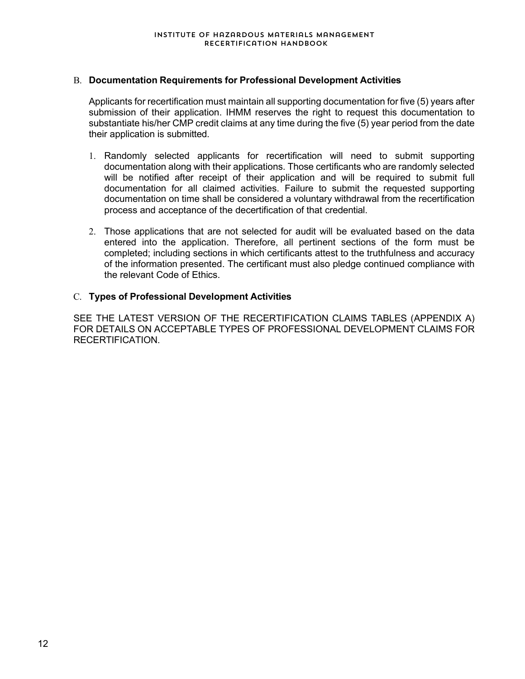#### B. **Documentation Requirements for Professional Development Activities**

Applicants for recertification must maintain all supporting documentation for five (5) years after submission of their application. IHMM reserves the right to request this documentation to substantiate his/her CMP credit claims at any time during the five (5) year period from the date their application is submitted.

- 1. Randomly selected applicants for recertification will need to submit supporting documentation along with their applications. Those certificants who are randomly selected will be notified after receipt of their application and will be required to submit full documentation for all claimed activities. Failure to submit the requested supporting documentation on time shall be considered a voluntary withdrawal from the recertification process and acceptance of the decertification of that credential.
- 2. Those applications that are not selected for audit will be evaluated based on the data entered into the application. Therefore, all pertinent sections of the form must be completed; including sections in which certificants attest to the truthfulness and accuracy of the information presented. The certificant must also pledge continued compliance with the relevant Code of Ethics.

#### C. **Types of Professional Development Activities**

SEE THE LATEST VERSION OF THE RECERTIFICATION CLAIMS TABLES (APPENDIX A) FOR DETAILS ON ACCEPTABLE TYPES OF PROFESSIONAL DEVELOPMENT CLAIMS FOR RECERTIFICATION.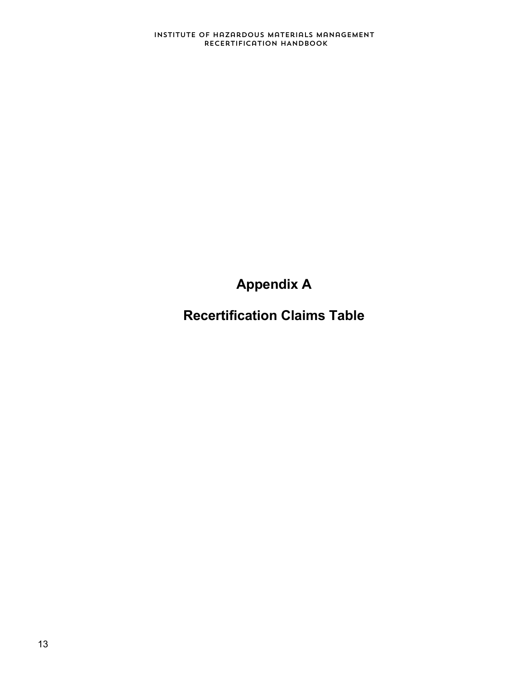**Appendix A**

**Recertification Claims Table**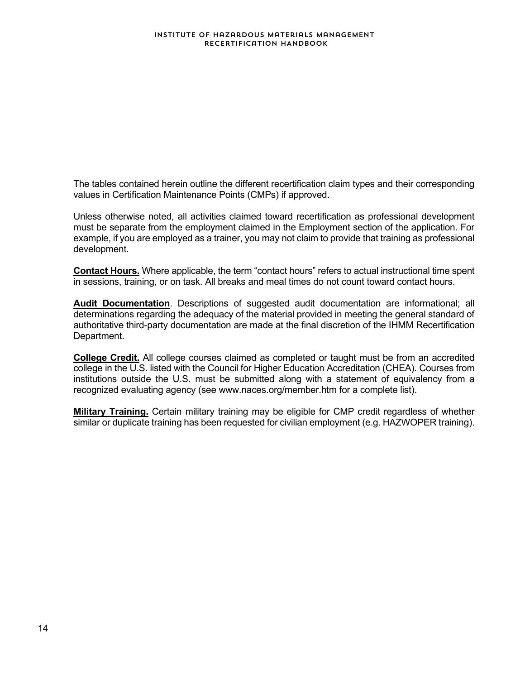The tables contained herein outline the different recertification claim types and their corresponding values in Certification Maintenance Points (CMPs) if approved.

Unless otherwise noted, all activities claimed toward recertification as professional development must be separate from the employment claimed in the Employment section of the application. For example, if you are employed as a trainer, you may not claim to provide that training as professional development.

**Contact Hours.** Where applicable, the term "contact hours" refers to actual instructional time spent in sessions, training, or on task. All breaks and meal times do not count toward contact hours.

**Audit Documentation**. Descriptions of suggested audit documentation are informational; all determinations regarding the adequacy of the material provided in meeting the general standard of authoritative third-party documentation are made at the final discretion of the IHMM Recertification Department.

**College Credit.** All college courses claimed as completed or taught must be from an accredited college in the U.S. listed with the Council for Higher Education Accreditation (CHEA). Courses from institutions outside the U.S. must be submitted along with a statement of equivalency from a recognized evaluating agency (see www.naces.org/member.htm for a complete list).

**Military Training.** Certain military training may be eligible for CMP credit regardless of whether similar or duplicate training has been requested for civilian employment (e.g. HAZWOPER training).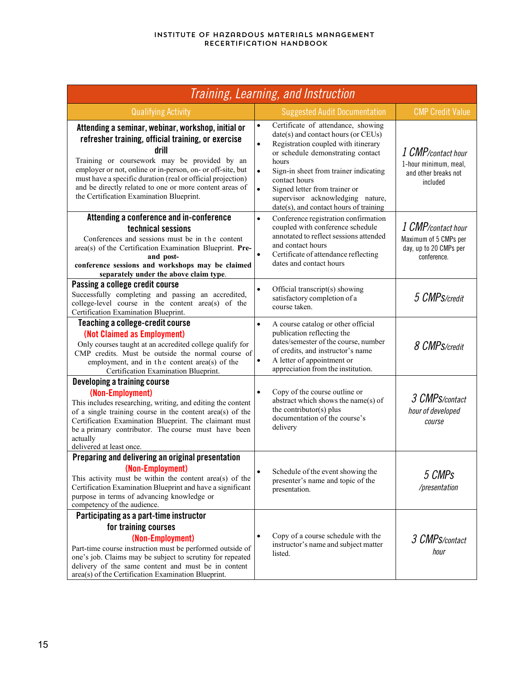| Training, Learning, and Instruction                                                                                                                                                                                                                                                                                                                                                                   |                                                                                                                                                                                                                                                                                                                                                                                                |                                                                                      |  |
|-------------------------------------------------------------------------------------------------------------------------------------------------------------------------------------------------------------------------------------------------------------------------------------------------------------------------------------------------------------------------------------------------------|------------------------------------------------------------------------------------------------------------------------------------------------------------------------------------------------------------------------------------------------------------------------------------------------------------------------------------------------------------------------------------------------|--------------------------------------------------------------------------------------|--|
| <b>Qualifying Activity</b>                                                                                                                                                                                                                                                                                                                                                                            | <b>Suggested Audit Documentation</b>                                                                                                                                                                                                                                                                                                                                                           | <b>CMP Credit Value</b>                                                              |  |
| Attending a seminar, webinar, workshop, initial or<br>refresher training, official training, or exercise<br>drill<br>Training or coursework may be provided by an<br>employer or not, online or in-person, on- or off-site, but<br>must have a specific duration (real or official projection)<br>and be directly related to one or more content areas of<br>the Certification Examination Blueprint. | Certificate of attendance, showing<br>$\bullet$<br>date(s) and contact hours (or CEUs)<br>$\bullet$<br>Registration coupled with itinerary<br>or schedule demonstrating contact<br>hours<br>$\bullet$<br>Sign-in sheet from trainer indicating<br>contact hours<br>Signed letter from trainer or<br>$\bullet$<br>supervisor acknowledging nature,<br>$date(s)$ , and contact hours of training | 1 CMP/contact hour<br>1-hour minimum, meal,<br>and other breaks not<br>included      |  |
| Attending a conference and in-conference<br>technical sessions<br>Conferences and sessions must be in the content<br>area(s) of the Certification Examination Blueprint. Pre-<br>and post-<br>conference sessions and workshops may be claimed<br>separately under the above claim type.                                                                                                              | $\bullet$<br>Conference registration confirmation<br>coupled with conference schedule<br>annotated to reflect sessions attended<br>and contact hours<br>$\bullet$<br>Certificate of attendance reflecting<br>dates and contact hours                                                                                                                                                           | 1 CMP/contact hour<br>Maximum of 5 CMPs per<br>day, up to 20 CMPs per<br>conference. |  |
| Passing a college credit course<br>Successfully completing and passing an accredited,<br>college-level course in the content area(s) of the<br>Certification Examination Blueprint.                                                                                                                                                                                                                   | Official transcript(s) showing<br>$\bullet$<br>satisfactory completion of a<br>course taken.                                                                                                                                                                                                                                                                                                   | 5 CMPS/credit                                                                        |  |
| Teaching a college-credit course<br>(Not Claimed as Employment)<br>Only courses taught at an accredited college qualify for<br>CMP credits. Must be outside the normal course of<br>employment, and in the content area(s) of the<br>Certification Examination Blueprint.                                                                                                                             | $\bullet$<br>A course catalog or other official<br>publication reflecting the<br>dates/semester of the course, number<br>of credits, and instructor's name<br>A letter of appointment or<br>$\bullet$<br>appreciation from the institution.                                                                                                                                                    | 8 CMPS/credit                                                                        |  |
| <b>Developing a training course</b><br>(Non-Employment)<br>This includes researching, writing, and editing the content<br>of a single training course in the content area(s) of the<br>Certification Examination Blueprint. The claimant must<br>be a primary contributor. The course must have been<br>actually<br>delivered at least once.                                                          | $\bullet$<br>Copy of the course outline or<br>abstract which shows the name(s) of<br>the contributor(s) plus<br>documentation of the course's<br>delivery                                                                                                                                                                                                                                      | 3 CMPS/contact<br>hour of developed<br>course                                        |  |
| Preparing and delivering an original presentation<br>(Non-Employment)<br>This activity must be within the content area(s) of the<br>Certification Examination Blueprint and have a significant<br>purpose in terms of advancing knowledge or<br>competency of the audience.                                                                                                                           | Schedule of the event showing the<br>presenter's name and topic of the<br>presentation.                                                                                                                                                                                                                                                                                                        | 5 CMPs<br>/presentation                                                              |  |
| Participating as a part-time instructor<br>for training courses<br>(Non-Employment)<br>Part-time course instruction must be performed outside of<br>one's job. Claims may be subject to scrutiny for repeated<br>delivery of the same content and must be in content<br>area(s) of the Certification Examination Blueprint.                                                                           | Copy of a course schedule with the<br>$\bullet$<br>instructor's name and subject matter<br>listed.                                                                                                                                                                                                                                                                                             | 3 CMPS/contact<br>hour                                                               |  |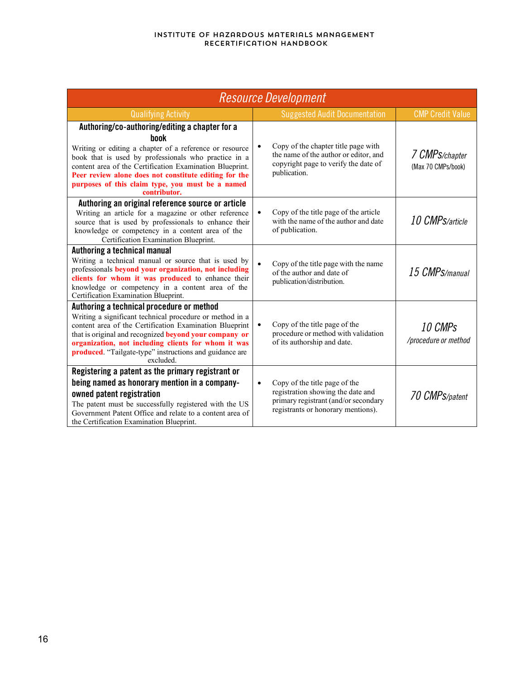| <b>Resource Development</b>                                                                                                                                                                                                                                                                                                                                        |                                                                                                                                                               |                                      |  |
|--------------------------------------------------------------------------------------------------------------------------------------------------------------------------------------------------------------------------------------------------------------------------------------------------------------------------------------------------------------------|---------------------------------------------------------------------------------------------------------------------------------------------------------------|--------------------------------------|--|
| <b>Qualifying Activity</b>                                                                                                                                                                                                                                                                                                                                         | <b>Suggested Audit Documentation</b>                                                                                                                          | <b>CMP Credit Value</b>              |  |
| Authoring/co-authoring/editing a chapter for a<br>hnnk<br>Writing or editing a chapter of a reference or resource<br>book that is used by professionals who practice in a<br>content area of the Certification Examination Blueprint.<br>Peer review alone does not constitute editing for the<br>purposes of this claim type, you must be a named<br>contributor. | Copy of the chapter title page with<br>the name of the author or editor, and<br>copyright page to verify the date of<br>publication.                          | 7 CMPS/chapter<br>(Max 70 CMPs/book) |  |
| Authoring an original reference source or article<br>Writing an article for a magazine or other reference<br>source that is used by professionals to enhance their<br>knowledge or competency in a content area of the<br>Certification Examination Blueprint.                                                                                                     | Copy of the title page of the article<br>$\bullet$<br>with the name of the author and date<br>of publication.                                                 | 10 CMP <sub>S/article</sub>          |  |
| Authoring a technical manual<br>Writing a technical manual or source that is used by<br>professionals beyond your organization, not including<br>clients for whom it was produced to enhance their<br>knowledge or competency in a content area of the<br>Certification Examination Blueprint.                                                                     | $\bullet$<br>Copy of the title page with the name<br>of the author and date of<br>publication/distribution.                                                   | 15 CMPS/manual                       |  |
| Authoring a technical procedure or method<br>Writing a significant technical procedure or method in a<br>content area of the Certification Examination Blueprint<br>that is original and recognized beyond your company or<br>organization, not including clients for whom it was<br>produced. "Tailgate-type" instructions and guidance are<br>excluded.          | Copy of the title page of the<br>$\bullet$<br>procedure or method with validation<br>of its authorship and date.                                              | 10 CMPs<br>/procedure or method      |  |
| Registering a patent as the primary registrant or<br>being named as honorary mention in a company-<br>owned patent registration<br>The patent must be successfully registered with the US<br>Government Patent Office and relate to a content area of<br>the Certification Examination Blueprint.                                                                  | Copy of the title page of the<br>$\bullet$<br>registration showing the date and<br>primary registrant (and/or secondary<br>registrants or honorary mentions). | 70 CMPS/patent                       |  |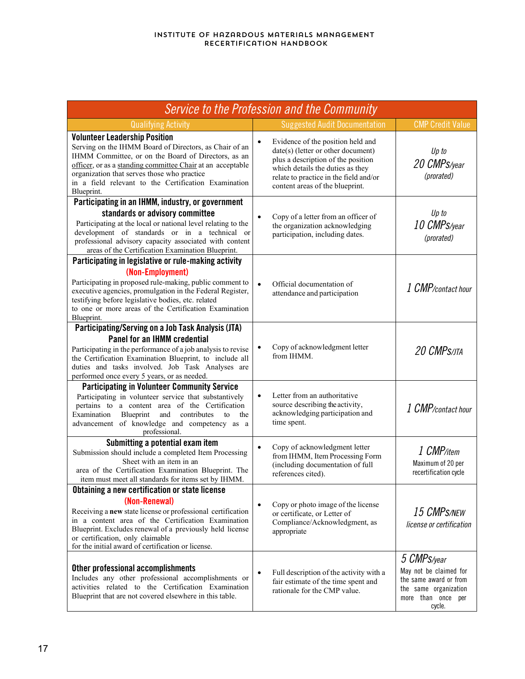| <b>Service to the Profession and the Community</b>                                                                                                                                                                                                                                                                                       |           |                                                                                                                                                                                                                                  |                                                                                                                          |
|------------------------------------------------------------------------------------------------------------------------------------------------------------------------------------------------------------------------------------------------------------------------------------------------------------------------------------------|-----------|----------------------------------------------------------------------------------------------------------------------------------------------------------------------------------------------------------------------------------|--------------------------------------------------------------------------------------------------------------------------|
| <b>Qualifying Activity</b>                                                                                                                                                                                                                                                                                                               |           | <b>Suggested Audit Documentation</b>                                                                                                                                                                                             | <b>CMP Credit Value</b>                                                                                                  |
| <b>Volunteer Leadership Position</b><br>Serving on the IHMM Board of Directors, as Chair of an<br>IHMM Committee, or on the Board of Directors, as an<br>officer, or as a standing committee Chair at an acceptable<br>organization that serves those who practice<br>in a field relevant to the Certification Examination<br>Blueprint. |           | Evidence of the position held and<br>$date(s)$ (letter or other document)<br>plus a description of the position<br>which details the duties as they<br>relate to practice in the field and/or<br>content areas of the blueprint. | Up to<br>20 CMPS/year<br>(prorated)                                                                                      |
| Participating in an IHMM, industry, or government                                                                                                                                                                                                                                                                                        |           |                                                                                                                                                                                                                                  |                                                                                                                          |
| standards or advisory committee<br>Participating at the local or national level relating to the<br>development of standards or in a technical or<br>professional advisory capacity associated with content<br>areas of the Certification Examination Blueprint.                                                                          | $\bullet$ | Copy of a letter from an officer of<br>the organization acknowledging<br>participation, including dates.                                                                                                                         | Up to<br>10 CMPS/year<br>(prorated)                                                                                      |
| Participating in legislative or rule-making activity                                                                                                                                                                                                                                                                                     |           |                                                                                                                                                                                                                                  |                                                                                                                          |
| (Non-Employment)<br>Participating in proposed rule-making, public comment to<br>executive agencies, promulgation in the Federal Register,<br>testifying before legislative bodies, etc. related<br>to one or more areas of the Certification Examination<br>Blueprint.                                                                   | $\bullet$ | Official documentation of<br>attendance and participation                                                                                                                                                                        | 1 CMP/contact hour                                                                                                       |
| Participating/Serving on a Job Task Analysis (JTA)                                                                                                                                                                                                                                                                                       |           |                                                                                                                                                                                                                                  |                                                                                                                          |
| <b>Panel for an IHMM credential</b><br>Participating in the performance of a job analysis to revise<br>the Certification Examination Blueprint, to include all<br>duties and tasks involved. Job Task Analyses are<br>performed once every 5 years, or as needed.                                                                        |           | Copy of acknowledgment letter<br>from IHMM.                                                                                                                                                                                      | 20 CMP <sub>S/JTA</sub>                                                                                                  |
| <b>Participating in Volunteer Community Service</b><br>Participating in volunteer service that substantively<br>pertains to a content area of the Certification<br>Examination<br>Blueprint<br>contributes<br>and<br>to<br>the<br>advancement of knowledge and competency as a<br>professional.                                          | $\bullet$ | Letter from an authoritative<br>source describing the activity,<br>acknowledging participation and<br>time spent.                                                                                                                | 1 CMP/contact hour                                                                                                       |
| Submitting a potential exam item<br>Submission should include a completed Item Processing<br>Sheet with an item in an<br>area of the Certification Examination Blueprint. The<br>item must meet all standards for items set by IHMM.                                                                                                     | $\bullet$ | Copy of acknowledgment letter<br>from IHMM, Item Processing Form<br>(including documentation of full<br>references cited).                                                                                                       | 1 CMP/item<br>Maximum of 20 per<br>recertification cycle                                                                 |
| Obtaining a new certification or state license                                                                                                                                                                                                                                                                                           |           |                                                                                                                                                                                                                                  |                                                                                                                          |
| (Non-Renewal)<br>Receiving a new state license or professional certification<br>in a content area of the Certification Examination<br>Blueprint. Excludes renewal of a previously held license<br>or certification, only claimable<br>for the initial award of certification or license.                                                 |           | Copy or photo image of the license<br>or certificate, or Letter of<br>Compliance/Acknowledgment, as<br>appropriate                                                                                                               | 15 CMPS/NEW<br>license or certification                                                                                  |
| Other professional accomplishments<br>Includes any other professional accomplishments or<br>activities related to the Certification Examination<br>Blueprint that are not covered elsewhere in this table.                                                                                                                               |           | Full description of the activity with a<br>fair estimate of the time spent and<br>rationale for the CMP value.                                                                                                                   | 5 CMPS/year<br>May not be claimed for<br>the same award or from<br>the same organization<br>more than once per<br>cycle. |